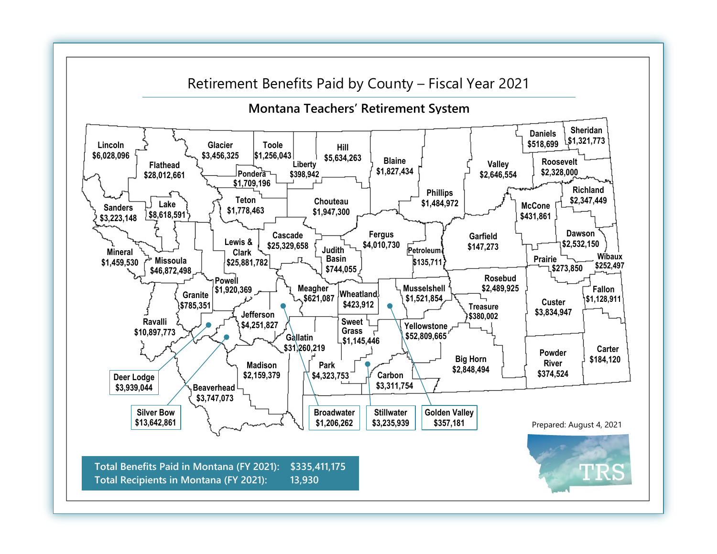